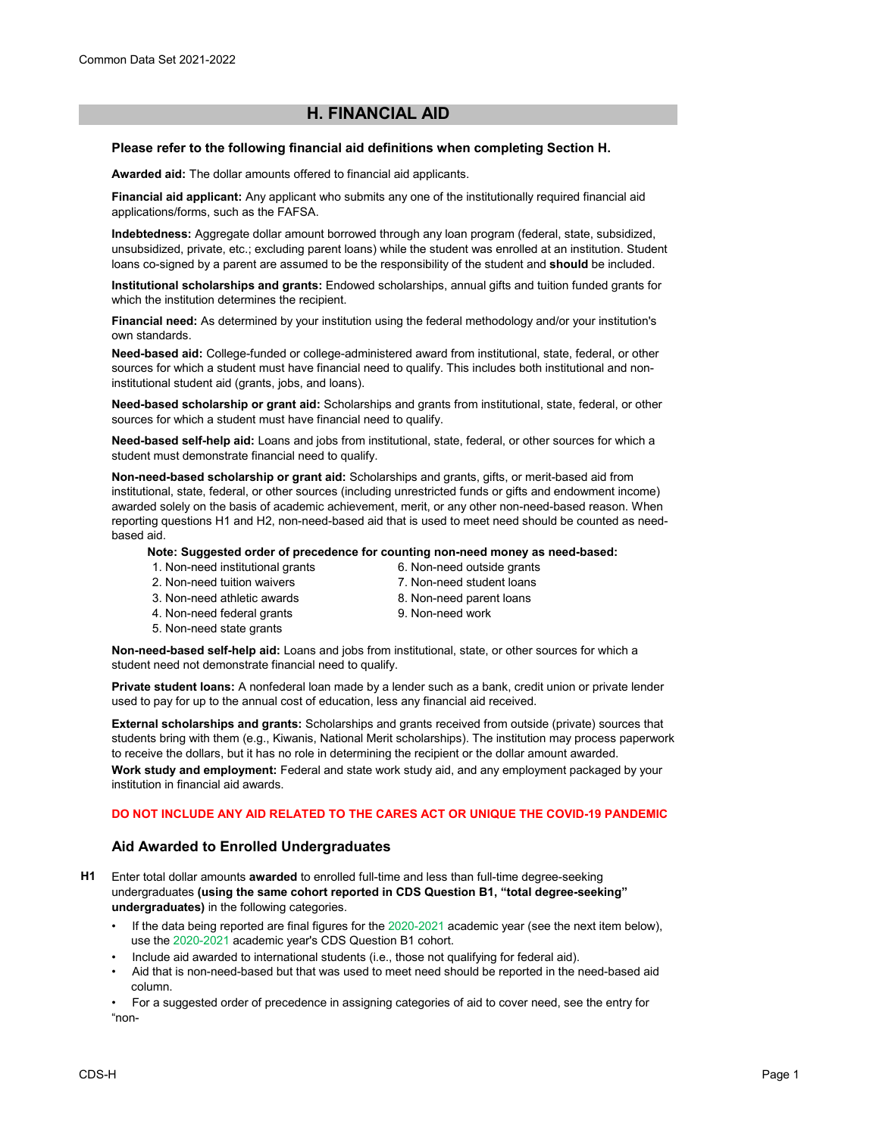# **H. FINANCIAL AID**

#### **Please refer to the following financial aid definitions when completing Section H.**

**Awarded aid:** The dollar amounts offered to financial aid applicants.

**Financial aid applicant:** Any applicant who submits any one of the institutionally required financial aid applications/forms, such as the FAFSA.

**Indebtedness:** Aggregate dollar amount borrowed through any loan program (federal, state, subsidized, unsubsidized, private, etc.; excluding parent loans) while the student was enrolled at an institution. Student loans co-signed by a parent are assumed to be the responsibility of the student and **should** be included.

**Institutional scholarships and grants:** Endowed scholarships, annual gifts and tuition funded grants for which the institution determines the recipient.

**Financial need:** As determined by your institution using the federal methodology and/or your institution's own standards.

**Need-based aid:** College-funded or college-administered award from institutional, state, federal, or other sources for which a student must have financial need to qualify. This includes both institutional and noninstitutional student aid (grants, jobs, and loans).

**Need-based scholarship or grant aid:** Scholarships and grants from institutional, state, federal, or other sources for which a student must have financial need to qualify.

**Need-based self-help aid:** Loans and jobs from institutional, state, federal, or other sources for which a student must demonstrate financial need to qualify.

**Non-need-based scholarship or grant aid:** Scholarships and grants, gifts, or merit-based aid from institutional, state, federal, or other sources (including unrestricted funds or gifts and endowment income) awarded solely on the basis of academic achievement, merit, or any other non-need-based reason. When reporting questions H1 and H2, non-need-based aid that is used to meet need should be counted as needbased aid.

#### **Note: Suggested order of precedence for counting non-need money as need-based:**

- 1. Non-need institutional grants
- 6. Non-need outside grants 7. Non-need student loans
- 2. Non-need tuition waivers
- 3. Non-need athletic awards 4. Non-need federal grants
- 8. Non-need parent loans
- 9. Non-need work
- 5. Non-need state grants
- **Non-need-based self-help aid:** Loans and jobs from institutional, state, or other sources for which a student need not demonstrate financial need to qualify.

**Private student loans:** A nonfederal loan made by a lender such as a bank, credit union or private lender used to pay for up to the annual cost of education, less any financial aid received.

**External scholarships and grants:** Scholarships and grants received from outside (private) sources that students bring with them (e.g., Kiwanis, National Merit scholarships). The institution may process paperwork to receive the dollars, but it has no role in determining the recipient or the dollar amount awarded. **Work study and employment:** Federal and state work study aid, and any employment packaged by your institution in financial aid awards.

#### **DO NOT INCLUDE ANY AID RELATED TO THE CARES ACT OR UNIQUE THE COVID-19 PANDEMIC**

### **Aid Awarded to Enrolled Undergraduates**

- **H1** Enter total dollar amounts **awarded** to enrolled full-time and less than full-time degree-seeking undergraduates **(using the same cohort reported in CDS Question B1, "total degree-seeking" undergraduates)** in the following categories.
	- If the data being reported are final figures for the 2020-2021 academic year (see the next item below), use the 2020-2021 academic year's CDS Question B1 cohort.
	- Include aid awarded to international students (i.e., those not qualifying for federal aid).
	- Aid that is non-need-based but that was used to meet need should be reported in the need-based aid column.

• For a suggested order of precedence in assigning categories of aid to cover need, see the entry for "non-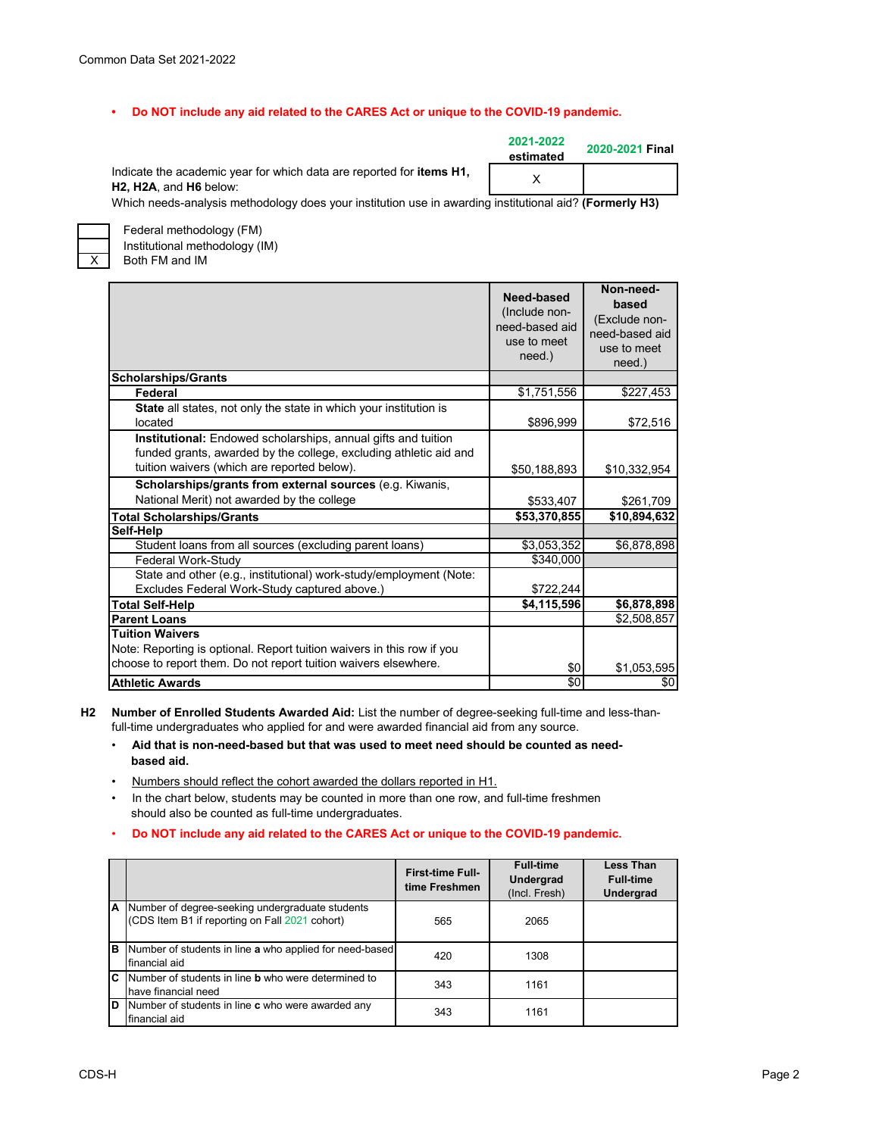#### **• Do NOT include any aid related to the CARES Act or unique to the COVID-19 pandemic.**

Indicate the academic year for which data are reported for **items H1, H2, H2A**, and **H6** below:

**2021-2022 estimated 2020-2021 Final** X

Which needs-analysis methodology does your institution use in awarding institutional aid? **(Formerly H3)**



Federal methodology (FM) Institutional methodology (IM) Both FM and IM

|                                                                                                                                                                                          | Need-based<br>(Include non-<br>need-based aid<br>use to meet<br>need.) | Non-need-<br>based<br>(Exclude non-<br>need-based aid<br>use to meet<br>need.) |
|------------------------------------------------------------------------------------------------------------------------------------------------------------------------------------------|------------------------------------------------------------------------|--------------------------------------------------------------------------------|
| <b>Scholarships/Grants</b>                                                                                                                                                               |                                                                        |                                                                                |
| Federal                                                                                                                                                                                  | \$1,751,556                                                            | \$227,453                                                                      |
| <b>State</b> all states, not only the state in which your institution is<br>located                                                                                                      | \$896,999                                                              | \$72,516                                                                       |
| <b>Institutional:</b> Endowed scholarships, annual gifts and tuition<br>funded grants, awarded by the college, excluding athletic aid and<br>tuition waivers (which are reported below). | \$50,188,893                                                           | \$10,332,954                                                                   |
| Scholarships/grants from external sources (e.g. Kiwanis,                                                                                                                                 |                                                                        |                                                                                |
| National Merit) not awarded by the college                                                                                                                                               | \$533,407                                                              | \$261,709                                                                      |
| <b>Total Scholarships/Grants</b>                                                                                                                                                         | \$53,370,855                                                           | \$10,894,632                                                                   |
| Self-Help                                                                                                                                                                                |                                                                        |                                                                                |
| Student loans from all sources (excluding parent loans)                                                                                                                                  | \$3,053,352                                                            | \$6,878,898                                                                    |
| Federal Work-Study                                                                                                                                                                       | \$340.000                                                              |                                                                                |
| State and other (e.g., institutional) work-study/employment (Note:<br>Excludes Federal Work-Study captured above.)                                                                       | \$722,244                                                              |                                                                                |
| <b>Total Self-Help</b>                                                                                                                                                                   | \$4,115,596                                                            | \$6,878,898                                                                    |
| <b>Parent Loans</b>                                                                                                                                                                      |                                                                        | \$2,508,857                                                                    |
| <b>Tuition Waivers</b><br>Note: Reporting is optional. Report tuition waivers in this row if you<br>choose to report them. Do not report tuition waivers elsewhere.                      |                                                                        |                                                                                |
| <b>Athletic Awards</b>                                                                                                                                                                   | \$0<br>\$0                                                             | \$1,053,595<br>\$0                                                             |

**H2 Number of Enrolled Students Awarded Aid:** List the number of degree-seeking full-time and less-thanfull-time undergraduates who applied for and were awarded financial aid from any source.

- • **Aid that is non-need-based but that was used to meet need should be counted as need based aid.**
- Numbers should reflect the cohort awarded the dollars reported in H1.
- In the chart below, students may be counted in more than one row, and full-time freshmen should also be counted as full-time undergraduates.
- • **Do NOT include any aid related to the CARES Act or unique to the COVID-19 pandemic.**

|   |                                                                                                     | <b>First-time Full-</b><br>time Freshmen | <b>Full-time</b><br><b>Undergrad</b><br>(Incl. Fresh) | <b>Less Than</b><br><b>Full-time</b><br>Undergrad |
|---|-----------------------------------------------------------------------------------------------------|------------------------------------------|-------------------------------------------------------|---------------------------------------------------|
|   | A Number of degree-seeking undergraduate students<br>(CDS Item B1 if reporting on Fall 2021 cohort) | 565                                      | 2065                                                  |                                                   |
| B | Number of students in line a who applied for need-based<br>financial aid                            | 420                                      | 1308                                                  |                                                   |
| C | Number of students in line <b>b</b> who were determined to<br>have financial need                   | 343                                      | 1161                                                  |                                                   |
| D | Number of students in line c who were awarded any<br>financial aid                                  | 343                                      | 1161                                                  |                                                   |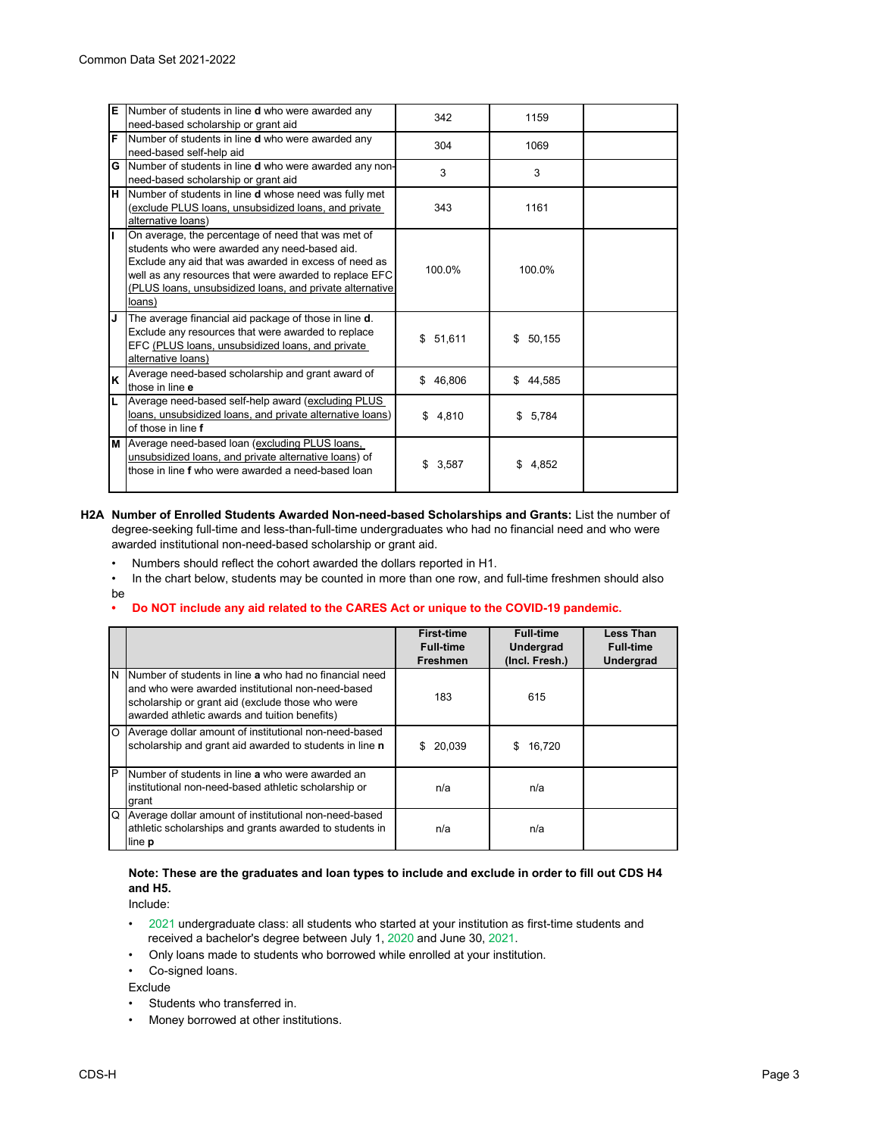|     | E Number of students in line <b>d</b> who were awarded any<br>need-based scholarship or grant aid                                                                                                                                                                                            | 342         | 1159        |  |
|-----|----------------------------------------------------------------------------------------------------------------------------------------------------------------------------------------------------------------------------------------------------------------------------------------------|-------------|-------------|--|
|     | F Number of students in line d who were awarded any<br>need-based self-help aid                                                                                                                                                                                                              | 304         | 1069        |  |
|     | <b>G</b> Number of students in line <b>d</b> who were awarded any non-<br>need-based scholarship or grant aid                                                                                                                                                                                | 3           | 3           |  |
|     | H Number of students in line <b>d</b> whose need was fully met<br>(exclude PLUS loans, unsubsidized loans, and private<br>alternative loans)                                                                                                                                                 | 343         | 1161        |  |
| II. | On average, the percentage of need that was met of<br>students who were awarded any need-based aid.<br>Exclude any aid that was awarded in excess of need as<br>well as any resources that were awarded to replace EFC<br>(PLUS loans, unsubsidized loans, and private alternative<br>loans) | 100.0%      | 100.0%      |  |
| IJ  | The average financial aid package of those in line <b>d</b> .<br>Exclude any resources that were awarded to replace<br>EFC (PLUS loans, unsubsidized loans, and private<br>alternative loans)                                                                                                | \$51,611    | \$50.155    |  |
| lκ  | Average need-based scholarship and grant award of<br>those in line e                                                                                                                                                                                                                         | \$46,806    | \$44,585    |  |
| L   | Average need-based self-help award (excluding PLUS<br>loans, unsubsidized loans, and private alternative loans)<br>of those in line f                                                                                                                                                        | \$4,810     | \$5,784     |  |
|     | M Average need-based loan (excluding PLUS loans,<br>unsubsidized loans, and private alternative loans) of<br>those in line f who were awarded a need-based loan                                                                                                                              | \$<br>3,587 | 4.852<br>\$ |  |

#### **H2A Number of Enrolled Students Awarded Non-need-based Scholarships and Grants:** List the number of degree-seeking full-time and less-than-full-time undergraduates who had no financial need and who were awarded institutional non-need-based scholarship or grant aid.

- Numbers should reflect the cohort awarded the dollars reported in H1.
- In the chart below, students may be counted in more than one row, and full-time freshmen should also
- be

#### **• Do NOT include any aid related to the CARES Act or unique to the COVID-19 pandemic.**

|   |                                                                                                                                                                                                                      | <b>First-time</b><br>Full-time<br><b>Freshmen</b> | <b>Full-time</b><br><b>Undergrad</b><br>(Incl. Fresh.) | <b>Less Than</b><br><b>Full-time</b><br>Undergrad |
|---|----------------------------------------------------------------------------------------------------------------------------------------------------------------------------------------------------------------------|---------------------------------------------------|--------------------------------------------------------|---------------------------------------------------|
|   | IN INumber of students in line a who had no financial need<br>and who were awarded institutional non-need-based<br>scholarship or grant aid (exclude those who were<br>awarded athletic awards and tuition benefits) | 183                                               | 615                                                    |                                                   |
|   | O Average dollar amount of institutional non-need-based<br>scholarship and grant aid awarded to students in line n                                                                                                   | 20,039<br>\$.                                     | 16,720<br>S                                            |                                                   |
| P | Number of students in line a who were awarded an<br>institutional non-need-based athletic scholarship or<br>grant                                                                                                    | n/a                                               | n/a                                                    |                                                   |
|   | Q Average dollar amount of institutional non-need-based<br>athletic scholarships and grants awarded to students in<br>line <b>p</b>                                                                                  | n/a                                               | n/a                                                    |                                                   |

# **Note: These are the graduates and loan types to include and exclude in order to fill out CDS H4 and H5.**

Include:

- •2021 undergraduate class: all students who started at your institution as first-time students and received a bachelor's degree between July 1, 2020 and June 30, 2021.
- Only loans made to students who borrowed while enrolled at your institution.
- Co-signed loans.

Exclude

- Students who transferred in.
- Money borrowed at other institutions.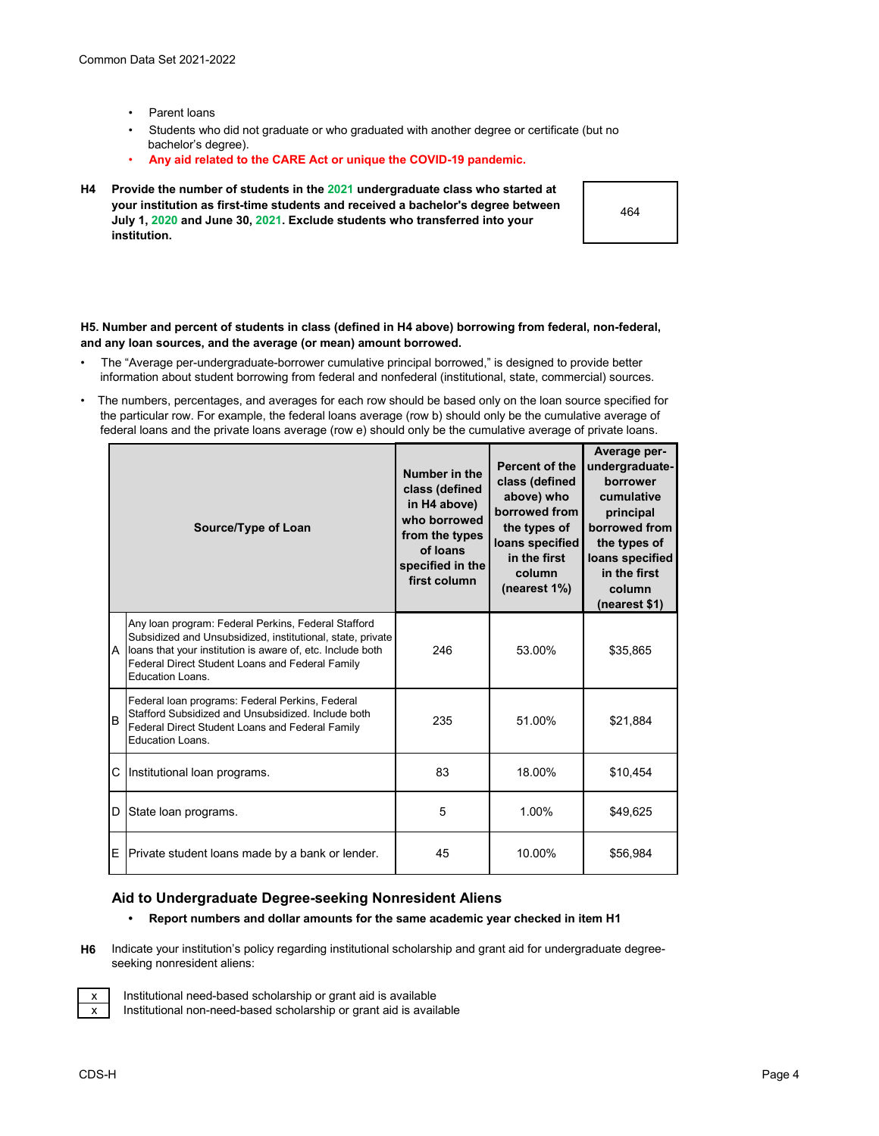- Parent loans
- Students who did not graduate or who graduated with another degree or certificate (but no bachelor's degree).
- **Any aid related to the CARE Act or unique the COVID-19 pandemic.**
- **H4 Provide the number of students in the 2021 undergraduate class who started at your institution as first-time students and received a bachelor's degree between July 1, 2020 and June 30, 2021. Exclude students who transferred into your institution.**

464

#### **H5. Number and percent of students in class (defined in H4 above) borrowing from federal, non-federal, and any loan sources, and the average (or mean) amount borrowed.**

- The "Average per-undergraduate-borrower cumulative principal borrowed," is designed to provide better information about student borrowing from federal and nonfederal (institutional, state, commercial) sources.
- The numbers, percentages, and averages for each row should be based only on the loan source specified for the particular row. For example, the federal loans average (row b) should only be the cumulative average of federal loans and the private loans average (row e) should only be the cumulative average of private loans.

|    | Source/Type of Loan                                                                                                                                                                                                                                      | Number in the<br>class (defined<br>in H4 above)<br>who borrowed<br>from the types<br>of loans<br>specified in the<br>first column | Percent of the<br>class (defined<br>above) who<br>borrowed from<br>the types of<br>loans specified<br>in the first<br>column<br>(nearest 1%) | Average per-<br>undergraduate-<br>borrower<br>cumulative<br>principal<br>borrowed from<br>the types of<br>loans specified<br>in the first<br>column<br>(nearest \$1) |
|----|----------------------------------------------------------------------------------------------------------------------------------------------------------------------------------------------------------------------------------------------------------|-----------------------------------------------------------------------------------------------------------------------------------|----------------------------------------------------------------------------------------------------------------------------------------------|----------------------------------------------------------------------------------------------------------------------------------------------------------------------|
|    | Any loan program: Federal Perkins, Federal Stafford<br>Subsidized and Unsubsidized, institutional, state, private<br>A loans that your institution is aware of, etc. Include both<br>Federal Direct Student Loans and Federal Family<br>Education Loans. | 246                                                                                                                               | 53.00%                                                                                                                                       | \$35,865                                                                                                                                                             |
| lв | Federal Ioan programs: Federal Perkins, Federal<br>Stafford Subsidized and Unsubsidized. Include both<br>Federal Direct Student Loans and Federal Family<br>Education Loans.                                                                             | 235                                                                                                                               | 51.00%                                                                                                                                       | \$21,884                                                                                                                                                             |
| C  | Institutional loan programs.                                                                                                                                                                                                                             | 83                                                                                                                                | 18.00%                                                                                                                                       | \$10,454                                                                                                                                                             |
| ID | State loan programs.                                                                                                                                                                                                                                     | 5                                                                                                                                 | 1.00%                                                                                                                                        | \$49,625                                                                                                                                                             |
| E  | Private student loans made by a bank or lender.                                                                                                                                                                                                          | 45                                                                                                                                | 10.00%                                                                                                                                       | \$56,984                                                                                                                                                             |

# **Aid to Undergraduate Degree-seeking Nonresident Aliens**

- **Report numbers and dollar amounts for the same academic year checked in item H1**
- **H6** Indicate your institution's policy regarding institutional scholarship and grant aid for undergraduate degreeseeking nonresident aliens:



Institutional need-based scholarship or grant aid is available

Institutional non-need-based scholarship or grant aid is available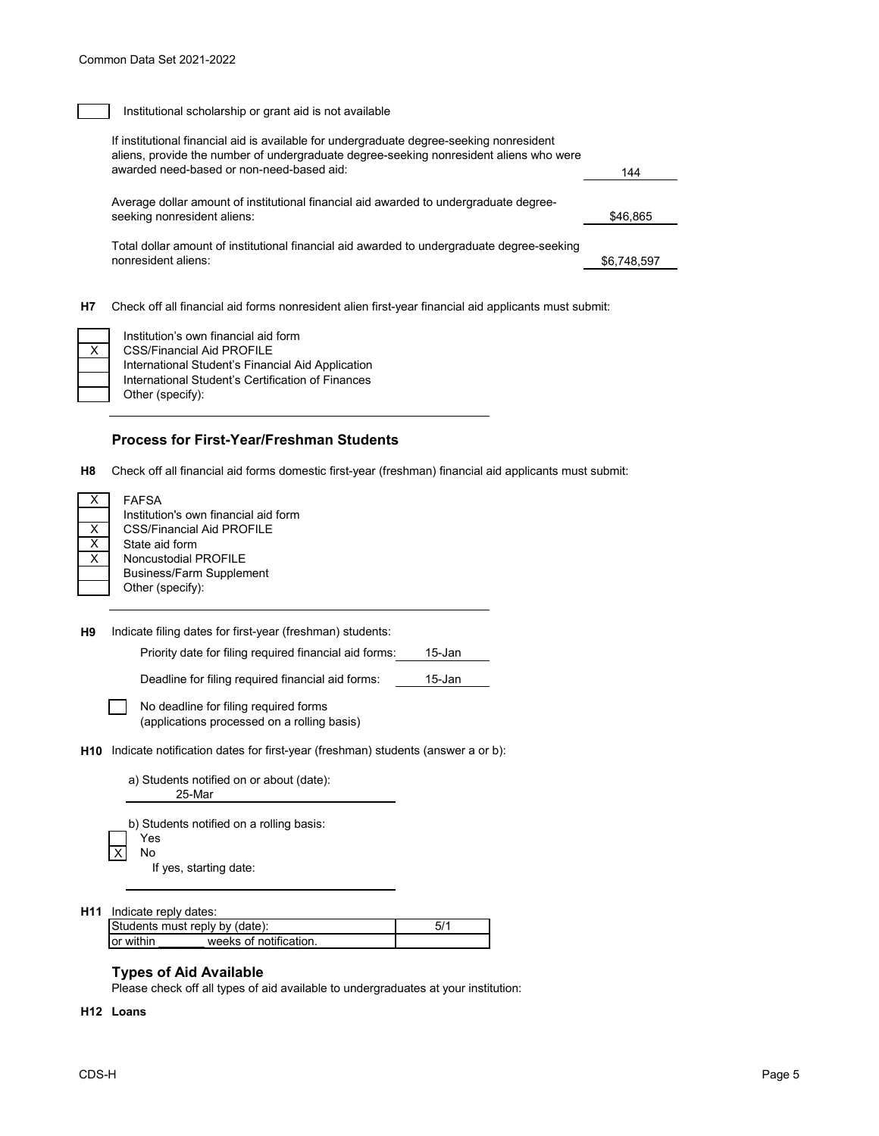### Institutional scholarship or grant aid is not available

| If institutional financial aid is available for undergraduate degree-seeking nonresident<br>aliens, provide the number of undergraduate degree-seeking nonresident aliens who were<br>awarded need-based or non-need-based aid: | 144         |
|---------------------------------------------------------------------------------------------------------------------------------------------------------------------------------------------------------------------------------|-------------|
| Average dollar amount of institutional financial aid awarded to undergraduate degree-<br>seeking nonresident aliens:                                                                                                            | \$46.865    |
| Total dollar amount of institutional financial aid awarded to undergraduate degree-seeking<br>nonresident aliens:                                                                                                               | \$6,748,597 |
|                                                                                                                                                                                                                                 |             |

**H7** Check off all financial aid forms nonresident alien first-year financial aid applicants must submit:

International Student's Financial Aid Application International Student's Certification of Finances Other (specify): Institution's own financial aid form CSS/Financial Aid PROFILE

### **Process for First-Year/Freshman Students**

**H8** Check off all financial aid forms domestic first-year (freshman) financial aid applicants must submit:

 $\Box$ 

FAFSA Institution's own financial aid form CSS/Financial Aid PROFILE State aid form Noncustodial PROFILE Business/Farm Supplement Other (specify):

**H9** Indicate filing dates for first-year (freshman) students:

Priority date for filing required financial aid forms: 15-Jan

Deadline for filing required financial aid forms: 15-Jan

| No deadline for filing required forms       |  |
|---------------------------------------------|--|
| (applications processed on a rolling basis) |  |

**H10** Indicate notification dates for first-year (freshman) students (answer a or b):

|                                | a) Students notified on or about (date):<br>25-Mar |
|--------------------------------|----------------------------------------------------|
|                                | b) Students notified on a rolling basis:<br>Yes    |
| $\mathsf{I} \times \mathsf{I}$ | N٥                                                 |
|                                | If yes, starting date:                             |

**H11** Indicate reply dates:

| Students must reply by (date): |                        |  |
|--------------------------------|------------------------|--|
| lor within                     | weeks of notification. |  |

### **Types of Aid Available**

Please check off all types of aid available to undergraduates at your institution:

#### **H12 Loans**